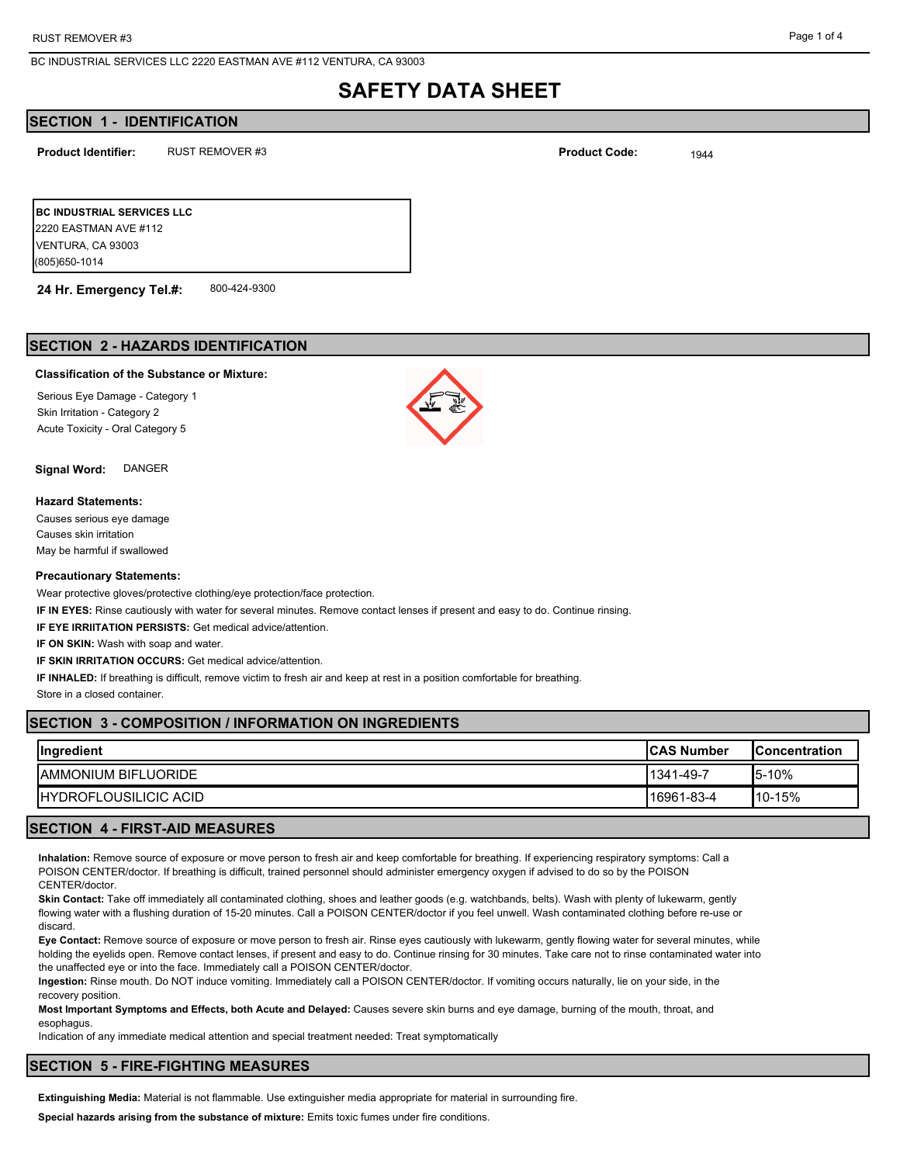## **SAFETY DATA SHEET**

## **SECTION 1 - IDENTIFICATION**

**Product Identifier:** RUST REMOVER #3 **Product Code:** <sub>1944</sub>

**BC INDUSTRIAL SERVICES LLC** 2220 EASTMAN AVE #112 VENTURA, CA 93003 (805)650-1014

**24 Hr. Emergency Tel.#:** 800-424-9300

## **SECTION 2 - HAZARDS IDENTIFICATION**

#### **Classification of the Substance or Mixture:**

Serious Eye Damage - Category 1 Skin Irritation - Category 2 Acute Toxicity - Oral Category 5

**Signal Word:** DANGER

#### **Hazard Statements:**

Causes serious eye damage Causes skin irritation May be harmful if swallowed

#### **Precautionary Statements:**

Wear protective gloves/protective clothing/eye protection/face protection.

**IF IN EYES:** Rinse cautiously with water for several minutes. Remove contact lenses if present and easy to do. Continue rinsing.

**IF EYE IRRIITATION PERSISTS:** Get medical advice/attention.

**IF ON SKIN:** Wash with soap and water.

**IF SKIN IRRITATION OCCURS:** Get medical advice/attention.

**IF INHALED:** If breathing is difficult, remove victim to fresh air and keep at rest in a position comfortable for breathing.

Store in a closed container.

## **SECTION 3 - COMPOSITION / INFORMATION ON INGREDIENTS**

| Ingredient                    | <b>ICAS Number</b> | <b>IConcentration</b> |
|-------------------------------|--------------------|-----------------------|
| <b>IAMMONIUM BIFLUORIDE</b>   | 1341-49-7          | $15-10%$              |
| <b>IHYDROFLOUSILICIC ACID</b> | 16961-83-4         | $110 - 15%$           |

## **SECTION 4 - FIRST-AID MEASURES**

**Inhalation:** Remove source of exposure or move person to fresh air and keep comfortable for breathing. If experiencing respiratory symptoms: Call a POISON CENTER/doctor. If breathing is difficult, trained personnel should administer emergency oxygen if advised to do so by the POISON CENTER/doctor.

**Skin Contact:** Take off immediately all contaminated clothing, shoes and leather goods (e.g. watchbands, belts). Wash with plenty of lukewarm, gently flowing water with a flushing duration of 15-20 minutes. Call a POISON CENTER/doctor if you feel unwell. Wash contaminated clothing before re-use or discard.

**Eye Contact:** Remove source of exposure or move person to fresh air. Rinse eyes cautiously with lukewarm, gently flowing water for several minutes, while holding the eyelids open. Remove contact lenses, if present and easy to do. Continue rinsing for 30 minutes. Take care not to rinse contaminated water into the unaffected eye or into the face. Immediately call a POISON CENTER/doctor.

**Ingestion:** Rinse mouth. Do NOT induce vomiting. Immediately call a POISON CENTER/doctor. If vomiting occurs naturally, lie on your side, in the recovery position.

**Most Important Symptoms and Effects, both Acute and Delayed:** Causes severe skin burns and eye damage, burning of the mouth, throat, and esophagus.

Indication of any immediate medical attention and special treatment needed: Treat symptomatically

## **SECTION 5 - FIRE-FIGHTING MEASURES**

**Extinguishing Media:** Material is not flammable. Use extinguisher media appropriate for material in surrounding fire.

**Special hazards arising from the substance of mixture:** Emits toxic fumes under fire conditions.

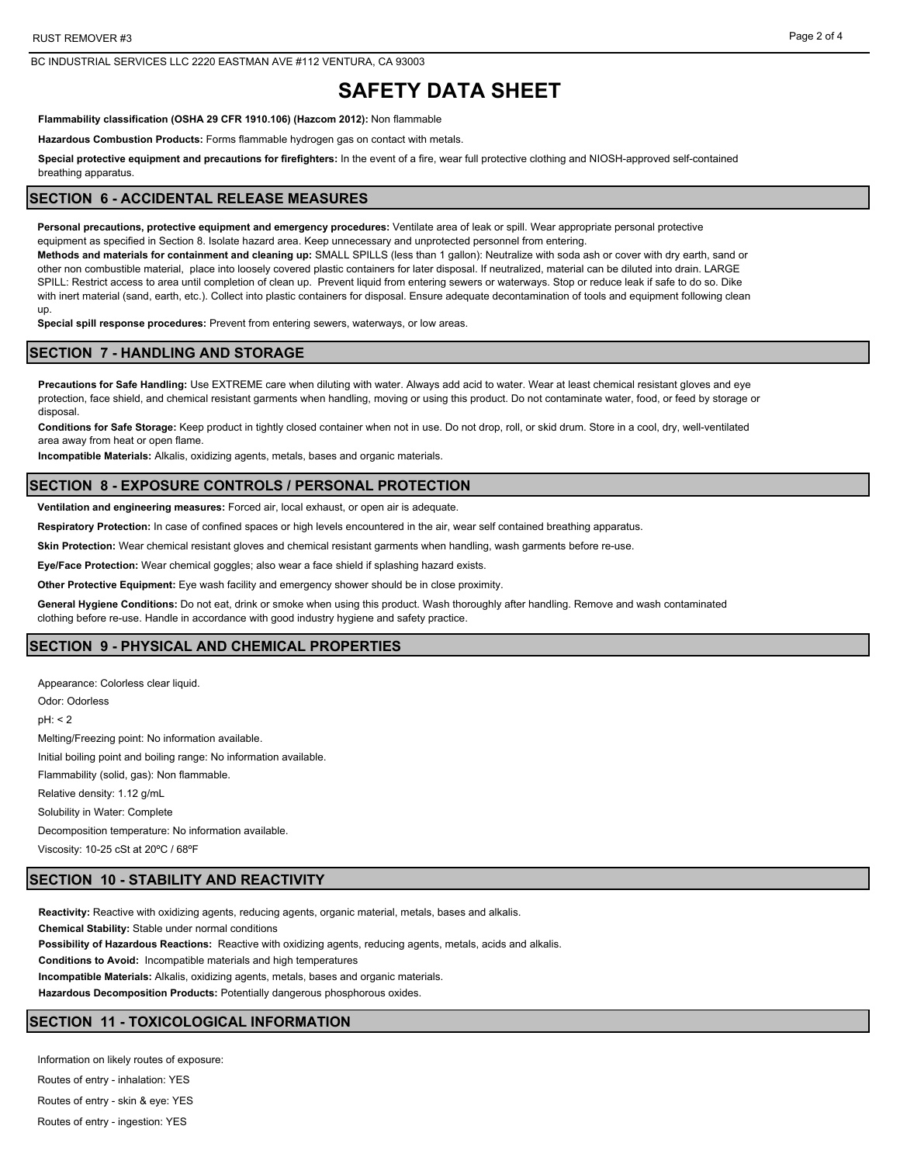**Flammability classification (OSHA 29 CFR 1910.106) (Hazcom 2012):** Non flammable

**Hazardous Combustion Products:** Forms flammable hydrogen gas on contact with metals.

**Special protective equipment and precautions for firefighters:** In the event of a fire, wear full protective clothing and NIOSH-approved self-contained breathing apparatus.

## **SECTION 6 - ACCIDENTAL RELEASE MEASURES**

**Personal precautions, protective equipment and emergency procedures:** Ventilate area of leak or spill. Wear appropriate personal protective equipment as specified in Section 8. Isolate hazard area. Keep unnecessary and unprotected personnel from entering.

**Methods and materials for containment and cleaning up:** SMALL SPILLS (less than 1 gallon): Neutralize with soda ash or cover with dry earth, sand or other non combustible material, place into loosely covered plastic containers for later disposal. If neutralized, material can be diluted into drain. LARGE SPILL: Restrict access to area until completion of clean up. Prevent liquid from entering sewers or waterways. Stop or reduce leak if safe to do so. Dike with inert material (sand, earth, etc.). Collect into plastic containers for disposal. Ensure adequate decontamination of tools and equipment following clean up.

**Special spill response procedures:** Prevent from entering sewers, waterways, or low areas.

## **SECTION 7 - HANDLING AND STORAGE**

**Precautions for Safe Handling:** Use EXTREME care when diluting with water. Always add acid to water. Wear at least chemical resistant gloves and eye protection, face shield, and chemical resistant garments when handling, moving or using this product. Do not contaminate water, food, or feed by storage or disposal.

**Conditions for Safe Storage:** Keep product in tightly closed container when not in use. Do not drop, roll, or skid drum. Store in a cool, dry, well-ventilated area away from heat or open flame.

**Incompatible Materials:** Alkalis, oxidizing agents, metals, bases and organic materials.

#### **SECTION 8 - EXPOSURE CONTROLS / PERSONAL PROTECTION**

**Ventilation and engineering measures:** Forced air, local exhaust, or open air is adequate.

**Respiratory Protection:** In case of confined spaces or high levels encountered in the air, wear self contained breathing apparatus.

**Skin Protection:** Wear chemical resistant gloves and chemical resistant garments when handling, wash garments before re-use.

**Eye/Face Protection:** Wear chemical goggles; also wear a face shield if splashing hazard exists.

**Other Protective Equipment:** Eye wash facility and emergency shower should be in close proximity.

**General Hygiene Conditions:** Do not eat, drink or smoke when using this product. Wash thoroughly after handling. Remove and wash contaminated clothing before re-use. Handle in accordance with good industry hygiene and safety practice.

## **SECTION 9 - PHYSICAL AND CHEMICAL PROPERTIES**

Appearance: Colorless clear liquid. Odor: Odorless pH: < 2 Melting/Freezing point: No information available. Initial boiling point and boiling range: No information available. Flammability (solid, gas): Non flammable. Relative density: 1.12 g/mL Solubility in Water: Complete Decomposition temperature: No information available. Viscosity: 10-25 cSt at 20ºC / 68ºF

## **SECTION 10 - STABILITY AND REACTIVITY**

**Reactivity:** Reactive with oxidizing agents, reducing agents, organic material, metals, bases and alkalis. **Chemical Stability:** Stable under normal conditions **Possibility of Hazardous Reactions:** Reactive with oxidizing agents, reducing agents, metals, acids and alkalis. **Conditions to Avoid:** Incompatible materials and high temperatures **Incompatible Materials:** Alkalis, oxidizing agents, metals, bases and organic materials. **Hazardous Decomposition Products:** Potentially dangerous phosphorous oxides.

## **SECTION 11 - TOXICOLOGICAL INFORMATION**

Information on likely routes of exposure: Routes of entry - inhalation: YES

Routes of entry - skin & eye: YES

Routes of entry - ingestion: YES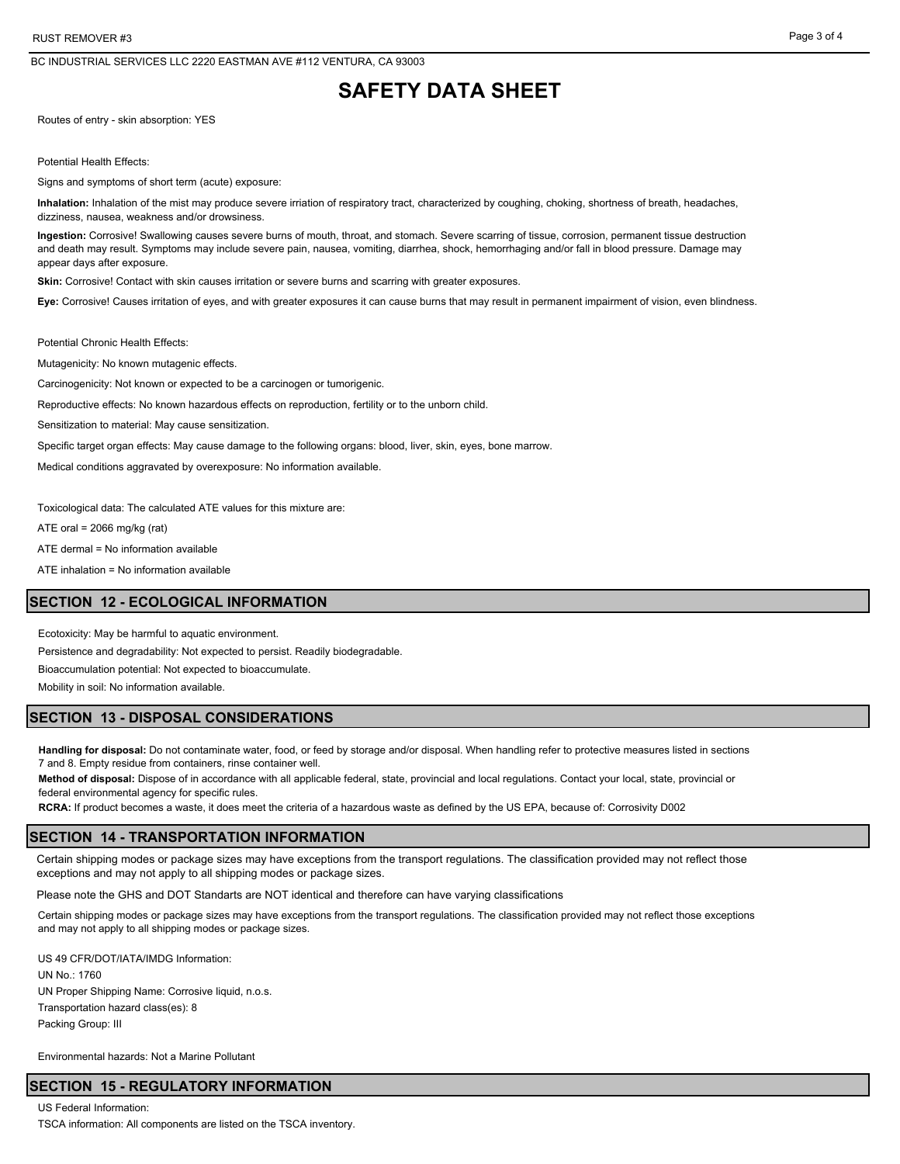# **SAFETY DATA SHEET**

Routes of entry - skin absorption: YES

Potential Health Effects:

Signs and symptoms of short term (acute) exposure:

**Inhalation:** Inhalation of the mist may produce severe irriation of respiratory tract, characterized by coughing, choking, shortness of breath, headaches, dizziness, nausea, weakness and/or drowsiness.

**Ingestion:** Corrosive! Swallowing causes severe burns of mouth, throat, and stomach. Severe scarring of tissue, corrosion, permanent tissue destruction and death may result. Symptoms may include severe pain, nausea, vomiting, diarrhea, shock, hemorrhaging and/or fall in blood pressure. Damage may appear days after exposure.

Skin: Corrosive! Contact with skin causes irritation or severe burns and scarring with greater exposures.

**Eye:** Corrosive! Causes irritation of eyes, and with greater exposures it can cause burns that may result in permanent impairment of vision, even blindness.

Potential Chronic Health Effects:

Mutagenicity: No known mutagenic effects.

Carcinogenicity: Not known or expected to be a carcinogen or tumorigenic.

Reproductive effects: No known hazardous effects on reproduction, fertility or to the unborn child.

Sensitization to material: May cause sensitization.

Specific target organ effects: May cause damage to the following organs: blood, liver, skin, eyes, bone marrow.

Medical conditions aggravated by overexposure: No information available.

Toxicological data: The calculated ATE values for this mixture are:

ATE oral =  $2066$  mg/kg (rat)

ATE dermal = No information available

ATE inhalation = No information available

### **SECTION 12 - ECOLOGICAL INFORMATION**

Ecotoxicity: May be harmful to aquatic environment.

Persistence and degradability: Not expected to persist. Readily biodegradable.

Bioaccumulation potential: Not expected to bioaccumulate.

Mobility in soil: No information available.

## **SECTION 13 - DISPOSAL CONSIDERATIONS**

**Handling for disposal:** Do not contaminate water, food, or feed by storage and/or disposal. When handling refer to protective measures listed in sections 7 and 8. Empty residue from containers, rinse container well.

**Method of disposal:** Dispose of in accordance with all applicable federal, state, provincial and local regulations. Contact your local, state, provincial or federal environmental agency for specific rules.

**RCRA:** If product becomes a waste, it does meet the criteria of a hazardous waste as defined by the US EPA, because of: Corrosivity D002

#### **SECTION 14 - TRANSPORTATION INFORMATION**

Certain shipping modes or package sizes may have exceptions from the transport regulations. The classification provided may not reflect those exceptions and may not apply to all shipping modes or package sizes.

Please note the GHS and DOT Standarts are NOT identical and therefore can have varying classifications

Certain shipping modes or package sizes may have exceptions from the transport regulations. The classification provided may not reflect those exceptions and may not apply to all shipping modes or package sizes.

US 49 CFR/DOT/IATA/IMDG Information: UN No.: 1760 UN Proper Shipping Name: Corrosive liquid, n.o.s. Transportation hazard class(es): 8 Packing Group: III

Environmental hazards: Not a Marine Pollutant

## **SECTION 15 - REGULATORY INFORMATION**